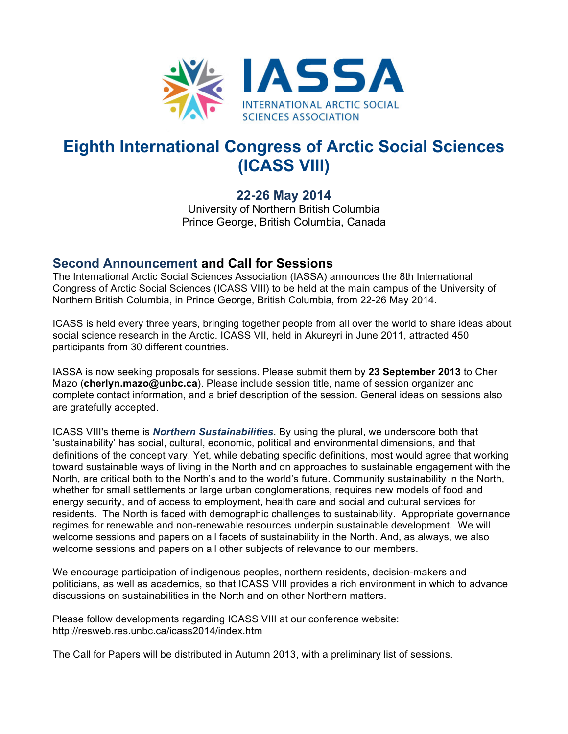

## **Eighth International Congress of Arctic Social Sciences (ICASS VIII)**

## **22-26 May 2014**

University of Northern British Columbia Prince George, British Columbia, Canada

## **Second Announcement and Call for Sessions**

The International Arctic Social Sciences Association (IASSA) announces the 8th International Congress of Arctic Social Sciences (ICASS VIII) to be held at the main campus of the University of Northern British Columbia, in Prince George, British Columbia, from 22-26 May 2014.

ICASS is held every three years, bringing together people from all over the world to share ideas about social science research in the Arctic. ICASS VII, held in Akureyri in June 2011, attracted 450 participants from 30 different countries.

IASSA is now seeking proposals for sessions. Please submit them by **23 September 2013** to Cher Mazo (**cherlyn.mazo@unbc.ca**). Please include session title, name of session organizer and complete contact information, and a brief description of the session. General ideas on sessions also are gratefully accepted.

ICASS VIII's theme is *Northern Sustainabilities*. By using the plural, we underscore both that 'sustainability' has social, cultural, economic, political and environmental dimensions, and that definitions of the concept vary. Yet, while debating specific definitions, most would agree that working toward sustainable ways of living in the North and on approaches to sustainable engagement with the North, are critical both to the North's and to the world's future. Community sustainability in the North, whether for small settlements or large urban conglomerations, requires new models of food and energy security, and of access to employment, health care and social and cultural services for residents. The North is faced with demographic challenges to sustainability. Appropriate governance regimes for renewable and non-renewable resources underpin sustainable development. We will welcome sessions and papers on all facets of sustainability in the North. And, as always, we also welcome sessions and papers on all other subjects of relevance to our members.

We encourage participation of indigenous peoples, northern residents, decision-makers and politicians, as well as academics, so that ICASS VIII provides a rich environment in which to advance discussions on sustainabilities in the North and on other Northern matters.

Please follow developments regarding ICASS VIII at our conference website: http://resweb.res.unbc.ca/icass2014/index.htm

The Call for Papers will be distributed in Autumn 2013, with a preliminary list of sessions.